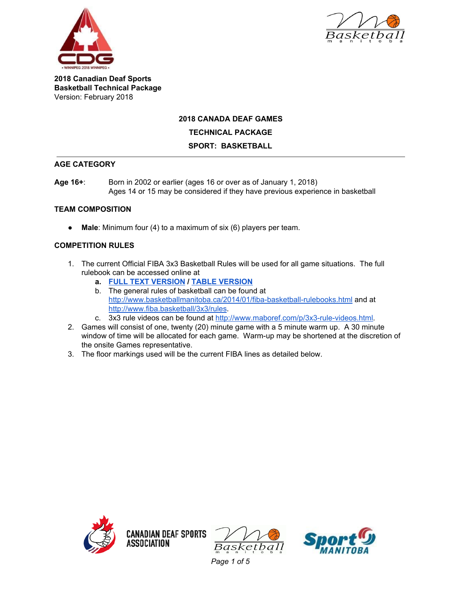



### **2018 CANADA DEAF GAMES**

#### **TECHNICAL PACKAGE**

#### **SPORT: BASKETBALL**

### **AGE CATEGORY**

**Age 16+**: Born in 2002 or earlier (ages 16 or over as of January 1, 2018) Ages 14 or 15 may be considered if they have previous experience in basketball

# **TEAM COMPOSITION**

● **Male**: Minimum four (4) to a maximum of six (6) players per team.

### **COMPETITION RULES**

- 1. The current Official FIBA 3x3 Basketball Rules will be used for all game situations. The full rulebook can be accessed online at
	- **a. FULL TEXT [VERSION](http://www.fiba.basketball/documents/2016/01/29/3x3Rulesofthegame2016text.pdf) / TABLE [VERSION](http://www.fiba.basketball/documents/2016/01/29/3x3%20Rules%20of%20the%20game%202016%20table.pdf)**
	- b. The general rules of basketball can be found at <http://www.basketballmanitoba.ca/2014/01/fiba-basketball-rulebooks.html> and at [http://www.fiba.basketball/3x3/rules.](http://www.fiba.basketball/3x3/rules)
	- c. 3x3 rule videos can be found at <http://www.maboref.com/p/3x3-rule-videos.html>.
- 2. Games will consist of one, twenty (20) minute game with a 5 minute warm up. A 30 minute window of time will be allocated for each game. Warm-up may be shortened at the discretion of the onsite Games representative.
- 3. The floor markings used will be the current FIBA lines as detailed below.







*Page 1 of 5*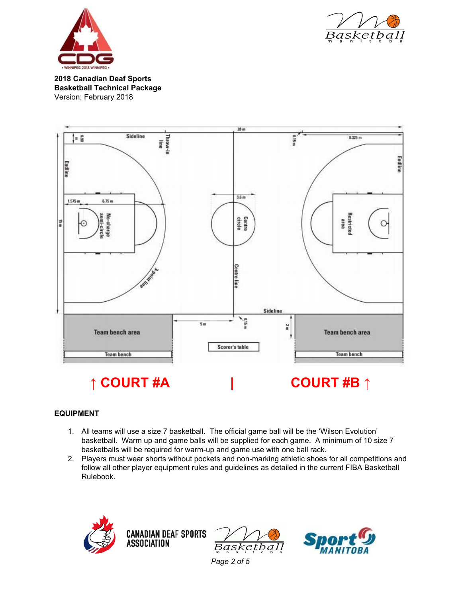





### **EQUIPMENT**

- 1. All teams will use a size 7 basketball. The official game ball will be the 'Wilson Evolution' basketball. Warm up and game balls will be supplied for each game. A minimum of 10 size 7 basketballs will be required for warm-up and game use with one ball rack.
- 2. Players must wear shorts without pockets and non-marking athletic shoes for all competitions and follow all other player equipment rules and guidelines as detailed in the current FIBA Basketball Rulebook.







*Page 2 of 5*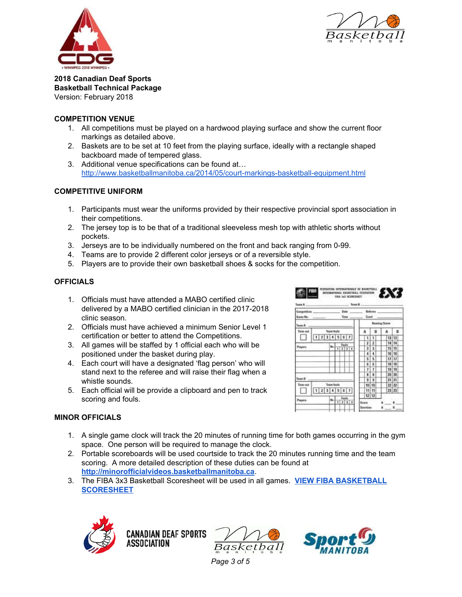



## **COMPETITION VENUE**

- 1. All competitions must be played on a hardwood playing surface and show the current floor markings as detailed above.
- 2. Baskets are to be set at 10 feet from the playing surface, ideally with a rectangle shaped backboard made of tempered glass.
- 3. Additional venue specifications can be found at… <http://www.basketballmanitoba.ca/2014/05/court-markings-basketball-equipment.html>

# **COMPETITIVE UNIFORM**

- 1. Participants must wear the uniforms provided by their respective provincial sport association in their competitions.
- 2. The jersey top is to be that of a traditional sleeveless mesh top with athletic shorts without pockets.
- 3. Jerseys are to be individually numbered on the front and back ranging from 0-99.
- 4. Teams are to provide 2 different color jerseys or of a reversible style.
- 5. Players are to provide their own basketball shoes & socks for the competition.

# **OFFICIALS**

- 1. Officials must have attended a MABO certified clinic delivered by a MABO certified clinician in the 2017-2018 clinic season.
- 2. Officials must have achieved a minimum Senior Level 1 certification or better to attend the Competitions.
- 3. All games will be staffed by 1 official each who will be positioned under the basket during play.
- 4. Each court will have a designated 'flag person' who will stand next to the referee and will raise their flag when a whistle sounds.
- 5. Each official will be provide a clipboard and pen to track scoring and fouls.



### **MINOR OFFICIALS**

- 1. A single game clock will track the 20 minutes of running time for both games occurring in the gym space. One person will be required to manage the clock.
- 2. Portable scoreboards will be used courtside to track the 20 minutes running time and the team scoring. A more detailed description of these duties can be found at **[http://minorofficialvideos.basketballmanitoba.ca](http://minorofficialvideos.basketballmanitoba.ca/)**.
- 3. The FIBA 3x3 Basketball Scoresheet will be used in all games. **VIEW FIBA [BASKETBALL](http://www.basketballmanitoba.ca/2014/01/fiba-basketball-scoresheets.html) [SCORESHEET](http://www.basketballmanitoba.ca/2014/01/fiba-basketball-scoresheets.html)**







*Page 3 of 5*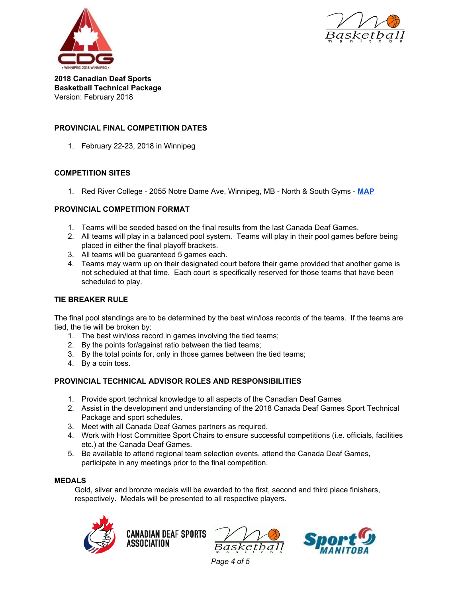



#### **PROVINCIAL FINAL COMPETITION DATES**

1. February 22-23, 2018 in Winnipeg

### **COMPETITION SITES**

1. Red River College - 2055 Notre Dame Ave, Winnipeg, MB - North & South Gyms - **[MAP](https://goo.gl/maps/oxLnk6vnJi72)**

### **PROVINCIAL COMPETITION FORMAT**

- 1. Teams will be seeded based on the final results from the last Canada Deaf Games.
- 2. All teams will play in a balanced pool system. Teams will play in their pool games before being placed in either the final playoff brackets.
- 3. All teams will be guaranteed 5 games each.
- 4. Teams may warm up on their designated court before their game provided that another game is not scheduled at that time. Each court is specifically reserved for those teams that have been scheduled to play.

#### **TIE BREAKER RULE**

The final pool standings are to be determined by the best win/loss records of the teams. If the teams are tied, the tie will be broken by:

- 1. The best win/loss record in games involving the tied teams;
- 2. By the points for/against ratio between the tied teams;
- 3. By the total points for, only in those games between the tied teams;
- 4. By a coin toss.

### **PROVINCIAL TECHNICAL ADVISOR ROLES AND RESPONSIBILITIES**

- 1. Provide sport technical knowledge to all aspects of the Canadian Deaf Games
- 2. Assist in the development and understanding of the 2018 Canada Deaf Games Sport Technical Package and sport schedules.
- 3. Meet with all Canada Deaf Games partners as required.
- 4. Work with Host Committee Sport Chairs to ensure successful competitions (i.e. officials, facilities etc.) at the Canada Deaf Games.
- 5. Be available to attend regional team selection events, attend the Canada Deaf Games, participate in any meetings prior to the final competition.

### **MEDALS**

Gold, silver and bronze medals will be awarded to the first, second and third place finishers, respectively. Medals will be presented to all respective players.







*Page 4 of 5*